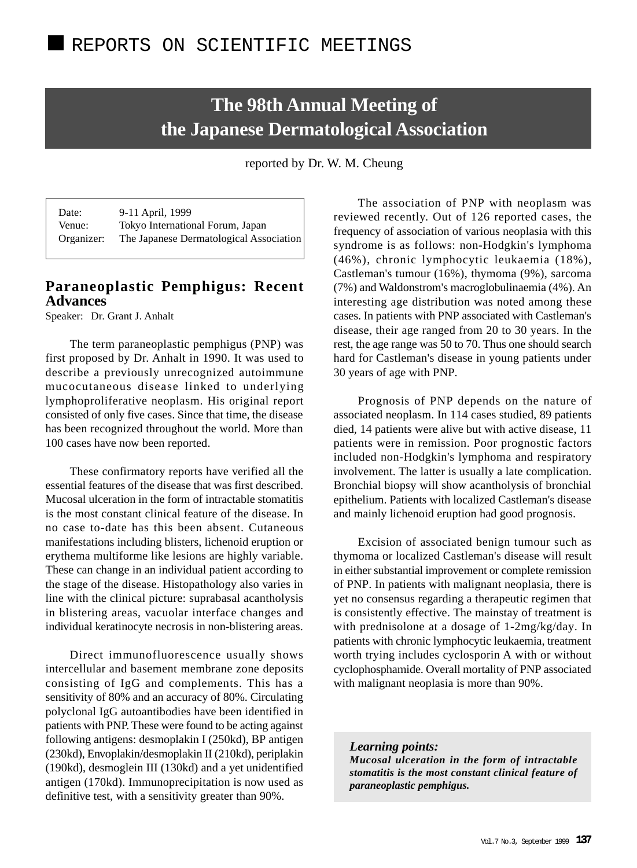# **The 98th Annual Meeting of the Japanese Dermatological Association**

reported by Dr. W. M. Cheung

Date: 9-11 April, 1999 Venue: Tokyo International Forum, Japan Organizer: The Japanese Dermatological Association

## **Paraneoplastic Pemphigus: Recent Advances**

Speaker: Dr. Grant J. Anhalt

The term paraneoplastic pemphigus (PNP) was first proposed by Dr. Anhalt in 1990. It was used to describe a previously unrecognized autoimmune mucocutaneous disease linked to underlying lymphoproliferative neoplasm. His original report consisted of only five cases. Since that time, the disease has been recognized throughout the world. More than 100 cases have now been reported.

These confirmatory reports have verified all the essential features of the disease that was first described. Mucosal ulceration in the form of intractable stomatitis is the most constant clinical feature of the disease. In no case to-date has this been absent. Cutaneous manifestations including blisters, lichenoid eruption or erythema multiforme like lesions are highly variable. These can change in an individual patient according to the stage of the disease. Histopathology also varies in line with the clinical picture: suprabasal acantholysis in blistering areas, vacuolar interface changes and individual keratinocyte necrosis in non-blistering areas.

Direct immunofluorescence usually shows intercellular and basement membrane zone deposits consisting of IgG and complements. This has a sensitivity of 80% and an accuracy of 80%. Circulating polyclonal IgG autoantibodies have been identified in patients with PNP. These were found to be acting against following antigens: desmoplakin I (250kd), BP antigen (230kd), Envoplakin/desmoplakin II (210kd), periplakin (190kd), desmoglein III (130kd) and a yet unidentified antigen (170kd). Immunoprecipitation is now used as definitive test, with a sensitivity greater than 90%.

The association of PNP with neoplasm was reviewed recently. Out of 126 reported cases, the frequency of association of various neoplasia with this syndrome is as follows: non-Hodgkin's lymphoma (46%), chronic lymphocytic leukaemia (18%), Castleman's tumour (16%), thymoma (9%), sarcoma (7%) and Waldonstrom's macroglobulinaemia (4%). An interesting age distribution was noted among these cases. In patients with PNP associated with Castleman's disease, their age ranged from 20 to 30 years. In the rest, the age range was 50 to 70. Thus one should search hard for Castleman's disease in young patients under 30 years of age with PNP.

Prognosis of PNP depends on the nature of associated neoplasm. In 114 cases studied, 89 patients died, 14 patients were alive but with active disease, 11 patients were in remission. Poor prognostic factors included non-Hodgkin's lymphoma and respiratory involvement. The latter is usually a late complication. Bronchial biopsy will show acantholysis of bronchial epithelium. Patients with localized Castleman's disease and mainly lichenoid eruption had good prognosis.

Excision of associated benign tumour such as thymoma or localized Castleman's disease will result in either substantial improvement or complete remission of PNP. In patients with malignant neoplasia, there is yet no consensus regarding a therapeutic regimen that is consistently effective. The mainstay of treatment is with prednisolone at a dosage of 1-2mg/kg/day. In patients with chronic lymphocytic leukaemia, treatment worth trying includes cyclosporin A with or without cyclophosphamide. Overall mortality of PNP associated with malignant neoplasia is more than 90%.

*Learning points: Mucosal ulceration in the form of intractable stomatitis is the most constant clinical feature of paraneoplastic pemphigus.*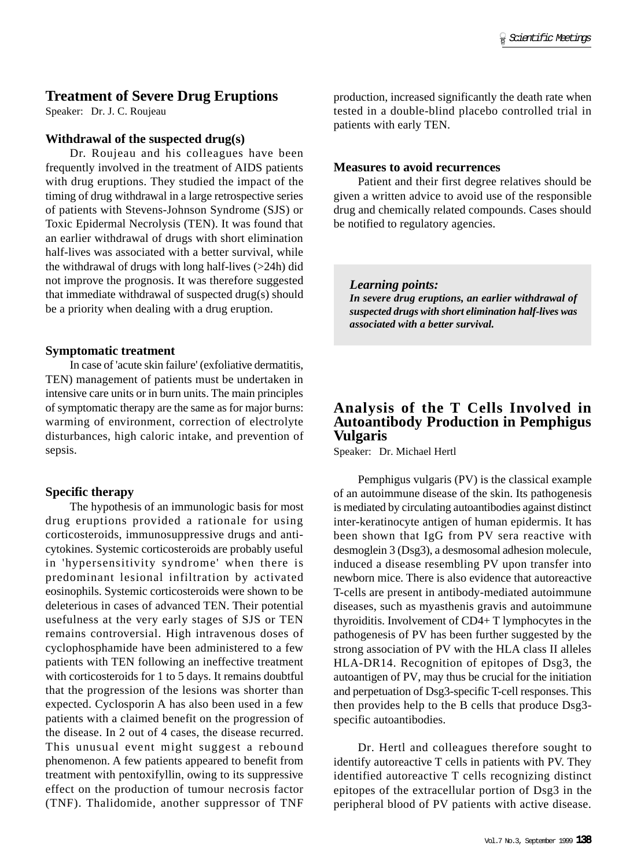# **Treatment of Severe Drug Eruptions**

Speaker: Dr. J. C. Roujeau

#### **Withdrawal of the suspected drug(s)**

Dr. Roujeau and his colleagues have been frequently involved in the treatment of AIDS patients with drug eruptions. They studied the impact of the timing of drug withdrawal in a large retrospective series of patients with Stevens-Johnson Syndrome (SJS) or Toxic Epidermal Necrolysis (TEN). It was found that an earlier withdrawal of drugs with short elimination half-lives was associated with a better survival, while the withdrawal of drugs with long half-lives  $(>24h)$  did not improve the prognosis. It was therefore suggested that immediate withdrawal of suspected drug(s) should be a priority when dealing with a drug eruption.

### **Symptomatic treatment**

In case of 'acute skin failure' (exfoliative dermatitis, TEN) management of patients must be undertaken in intensive care units or in burn units. The main principles of symptomatic therapy are the same as for major burns: warming of environment, correction of electrolyte disturbances, high caloric intake, and prevention of sepsis.

## **Specific therapy**

The hypothesis of an immunologic basis for most drug eruptions provided a rationale for using corticosteroids, immunosuppressive drugs and anticytokines. Systemic corticosteroids are probably useful in 'hypersensitivity syndrome' when there is predominant lesional infiltration by activated eosinophils. Systemic corticosteroids were shown to be deleterious in cases of advanced TEN. Their potential usefulness at the very early stages of SJS or TEN remains controversial. High intravenous doses of cyclophosphamide have been administered to a few patients with TEN following an ineffective treatment with corticosteroids for 1 to 5 days. It remains doubtful that the progression of the lesions was shorter than expected. Cyclosporin A has also been used in a few patients with a claimed benefit on the progression of the disease. In 2 out of 4 cases, the disease recurred. This unusual event might suggest a rebound phenomenon. A few patients appeared to benefit from treatment with pentoxifyllin, owing to its suppressive effect on the production of tumour necrosis factor (TNF). Thalidomide, another suppressor of TNF production, increased significantly the death rate when tested in a double-blind placebo controlled trial in patients with early TEN.

#### **Measures to avoid recurrences**

Patient and their first degree relatives should be given a written advice to avoid use of the responsible drug and chemically related compounds. Cases should be notified to regulatory agencies.

*Learning points: In severe drug eruptions, an earlier withdrawal of suspected drugs with short elimination half-lives was associated with a better survival.*

# **Analysis of the T Cells Involved in Autoantibody Production in Pemphigus Vulgaris**

Speaker: Dr. Michael Hertl

Pemphigus vulgaris (PV) is the classical example of an autoimmune disease of the skin. Its pathogenesis is mediated by circulating autoantibodies against distinct inter-keratinocyte antigen of human epidermis. It has been shown that IgG from PV sera reactive with desmoglein 3 (Dsg3), a desmosomal adhesion molecule, induced a disease resembling PV upon transfer into newborn mice. There is also evidence that autoreactive T-cells are present in antibody-mediated autoimmune diseases, such as myasthenis gravis and autoimmune thyroiditis. Involvement of CD4+ T lymphocytes in the pathogenesis of PV has been further suggested by the strong association of PV with the HLA class II alleles HLA-DR14. Recognition of epitopes of Dsg3, the autoantigen of PV, may thus be crucial for the initiation and perpetuation of Dsg3-specific T-cell responses. This then provides help to the B cells that produce Dsg3 specific autoantibodies.

Dr. Hertl and colleagues therefore sought to identify autoreactive T cells in patients with PV. They identified autoreactive T cells recognizing distinct epitopes of the extracellular portion of Dsg3 in the peripheral blood of PV patients with active disease.